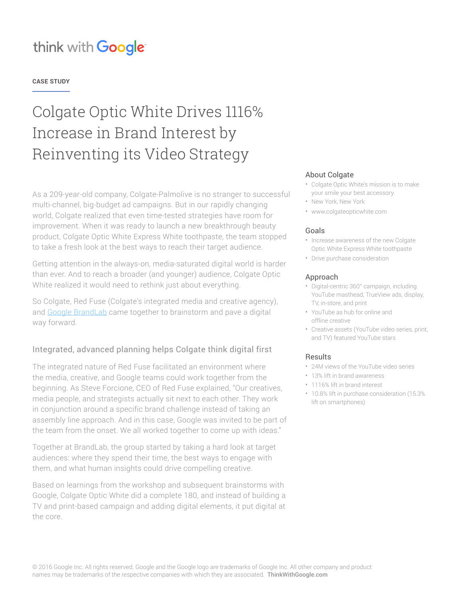### **CASE STUDY**

# Colgate Optic White Drives 1116% Increase in Brand Interest by Reinventing its Video Strategy

As a 209-year-old company, Colgate-Palmolive is no stranger to successful multi-channel, big-budget ad campaigns. But in our rapidly changing world, Colgate realized that even time-tested strategies have room for improvement. When it was ready to launch a new breakthrough beauty product, Colgate Optic White Express White toothpaste, the team stopped to take a fresh look at the best ways to reach their target audience.

Getting attention in the always-on, media-saturated digital world is harder than ever. And to reach a broader (and younger) audience, Colgate Optic White realized it would need to rethink just about everything.

So Colgate, Red Fuse (Colgate's integrated media and creative agency), and [Google BrandLab](https://www.thinkwithgoogle.com/articles/building-youtube-content-strategy-lessons-from-google-brandlab.html) came together to brainstorm and pave a digital way forward.

## Integrated, advanced planning helps Colgate think digital first

The integrated nature of Red Fuse facilitated an environment where the media, creative, and Google teams could work together from the beginning. As Steve Forcione, CEO of Red Fuse explained, "Our creatives, media people, and strategists actually sit next to each other. They work in conjunction around a specific brand challenge instead of taking an assembly line approach. And in this case, Google was invited to be part of the team from the onset. We all worked together to come up with ideas."

Together at BrandLab, the group started by taking a hard look at target audiences: where they spend their time, the best ways to engage with them, and what human insights could drive compelling creative.

Based on learnings from the workshop and subsequent brainstorms with Google, Colgate Optic White did a complete 180, and instead of building a TV and print-based campaign and adding digital elements, it put digital at the core.

### About Colgate

- Colgate Optic White's mission is to make your smile your best accessory.
- New York, New York
- www.colgateopticwhite.com

### Goals

- Increase awareness of the new Colgate Optic White Express White toothpaste
- Drive purchase consideration

#### Approach

- Digital-centric 360° campaign, including YouTube masthead, TrueView ads, display, TV, in-store, and print
- YouTube as hub for online and offline creative
- Creative assets (YouTube video series, print, and TV) featured YouTube stars

### Results

- 24M views of the YouTube video series
- 13% lift in brand awareness
- 1116% lift in brand interest
- 10.8% lift in purchase consideration (15.3% lift on smartphones)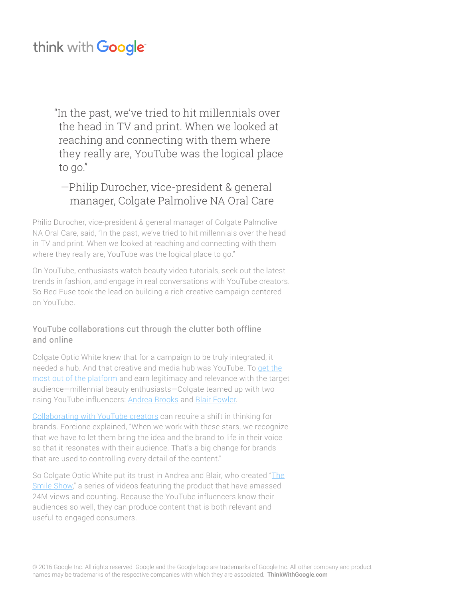"In the past, we've tried to hit millennials over the head in TV and print. When we looked at reaching and connecting with them where they really are, YouTube was the logical place to go."

## —Philip Durocher, vice-president & general manager, Colgate Palmolive NA Oral Care

Philip Durocher, vice-president & general manager of Colgate Palmolive NA Oral Care, said, "In the past, we've tried to hit millennials over the head in TV and print. When we looked at reaching and connecting with them where they really are, YouTube was the logical place to go."

On YouTube, enthusiasts watch beauty video tutorials, seek out the latest trends in fashion, and engage in real conversations with YouTube creators. So Red Fuse took the lead on building a rich creative campaign centered on YouTube.

## YouTube collaborations cut through the clutter both offline and online

Colgate Optic White knew that for a campaign to be truly integrated, it needed a hub. And that creative and media hub was YouTube. To [get the](https://www.thinkwithgoogle.com/playbooks/build-a-content-plan.html) [most out of the platform](https://www.thinkwithgoogle.com/playbooks/build-a-content-plan.html) and earn legitimacy and relevance with the target audience—millennial beauty enthusiasts—Colgate teamed up with two rising YouTube influencers: **Andrea Brooks** and [Blair Fowler.](https://www.youtube.com/user/juicystar07)

[Collaborating with YouTube creators](https://www.thinkwithgoogle.com/articles/how-agencies-can-successfully-partner-with-new-culture-makers.html) can require a shift in thinking for brands. Forcione explained, "When we work with these stars, we recognize that we have to let them bring the idea and the brand to life in their voice so that it resonates with their audience. That's a big change for brands that are used to controlling every detail of the content."

So Colgate Optic White put its trust in Andrea and Blair, who created ["The](https://www.youtube.com/user/colgateopticwhite) [Smile Show](https://www.youtube.com/user/colgateopticwhite)," a series of videos featuring the product that have amassed 24M views and counting. Because the YouTube influencers know their audiences so well, they can produce content that is both relevant and useful to engaged consumers.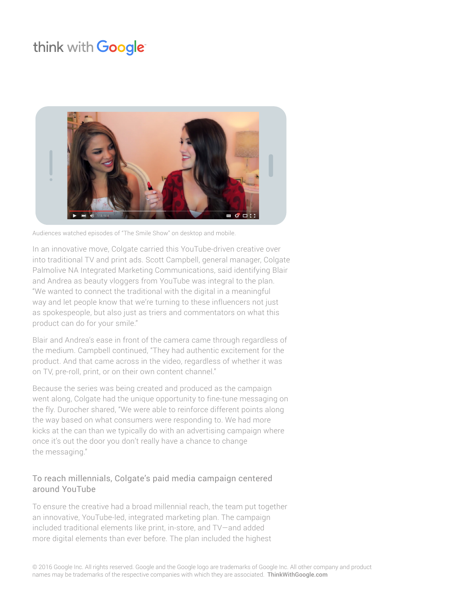

Audiences watched episodes of "The Smile Show" on desktop and mobile.

In an innovative move, Colgate carried this YouTube-driven creative over into traditional TV and print ads. Scott Campbell, general manager, Colgate Palmolive NA Integrated Marketing Communications, said identifying Blair and Andrea as beauty vloggers from YouTube was integral to the plan. "We wanted to connect the traditional with the digital in a meaningful way and let people know that we're turning to these influencers not just as spokespeople, but also just as triers and commentators on what this product can do for your smile."

Blair and Andrea's ease in front of the camera came through regardless of the medium. Campbell continued, "They had authentic excitement for the product. And that came across in the video, regardless of whether it was on TV, pre-roll, print, or on their own content channel."

Because the series was being created and produced as the campaign went along, Colgate had the unique opportunity to fine-tune messaging on the fly. Durocher shared, "We were able to reinforce different points along the way based on what consumers were responding to. We had more kicks at the can than we typically do with an advertising campaign where once it's out the door you don't really have a chance to change the messaging."

## To reach millennials, Colgate's paid media campaign centered around YouTube

To ensure the creative had a broad millennial reach, the team put together an innovative, YouTube-led, integrated marketing plan. The campaign included traditional elements like print, in-store, and TV—and added more digital elements than ever before. The plan included the highest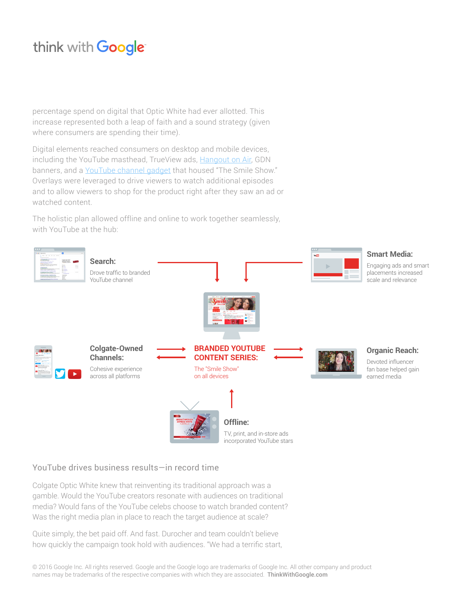percentage spend on digital that Optic White had ever allotted. This increase represented both a leap of faith and a sound strategy (given where consumers are spending their time).

Digital elements reached consumers on desktop and mobile devices, including the YouTube masthead, TrueView ads, [Hangout on Air](https://plus.google.com/+colgateopticwhite), GDN banners, and a [YouTube channel gadget](https://www.youtube.com/user/colgateopticwhite/SmileShow) that housed "The Smile Show." Overlays were leveraged to drive viewers to watch additional episodes and to allow viewers to shop for the product right after they saw an ad or watched content.

The holistic plan allowed offline and online to work together seamlessly, with YouTube at the hub:



## YouTube drives business results—in record time

Colgate Optic White knew that reinventing its traditional approach was a gamble. Would the YouTube creators resonate with audiences on traditional media? Would fans of the YouTube celebs choose to watch branded content? Was the right media plan in place to reach the target audience at scale?

Quite simply, the bet paid off. And fast. Durocher and team couldn't believe how quickly the campaign took hold with audiences. "We had a terrific start,